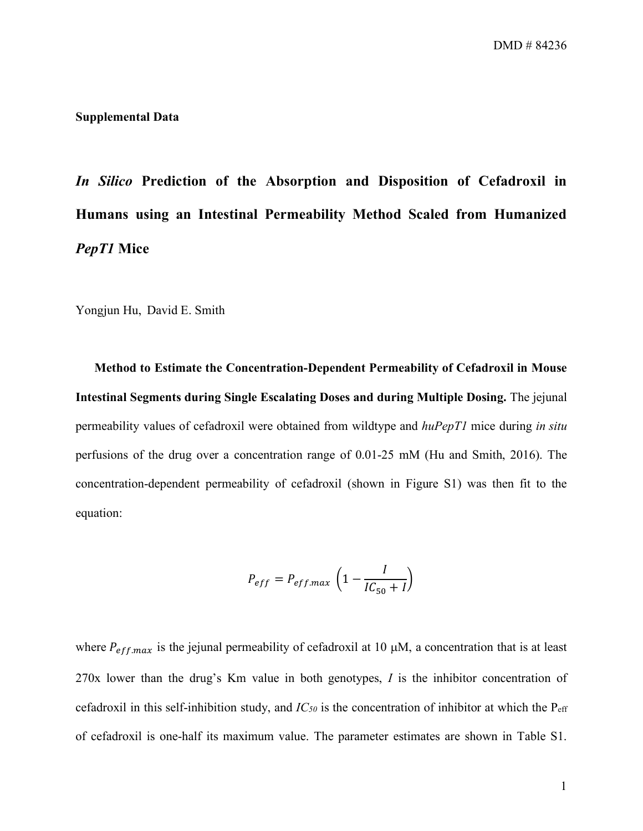## **Supplemental Data**

*In Silico* **Prediction of the Absorption and Disposition of Cefadroxil in Humans using an Intestinal Permeability Method Scaled from Humanized**  *PepT1* **Mice** 

Yongjun Hu, David E. Smith

**Method to Estimate the Concentration-Dependent Permeability of Cefadroxil in Mouse Intestinal Segments during Single Escalating Doses and during Multiple Dosing.** The jejunal permeability values of cefadroxil were obtained from wildtype and *huPepT1* mice during *in situ* perfusions of the drug over a concentration range of 0.01-25 mM (Hu and Smith, 2016). The concentration-dependent permeability of cefadroxil (shown in Figure S1) was then fit to the equation:

$$
P_{eff} = P_{eff.max} \left(1 - \frac{I}{IC_{50} + I}\right)
$$

where  $P_{\text{eff,max}}$  is the jejunal permeability of cefadroxil at 10  $\mu$ M, a concentration that is at least 270x lower than the drug's Km value in both genotypes, *I* is the inhibitor concentration of cefadroxil in this self-inhibition study, and  $IC_{50}$  is the concentration of inhibitor at which the  $P_{\text{eff}}$ of cefadroxil is one-half its maximum value. The parameter estimates are shown in Table S1.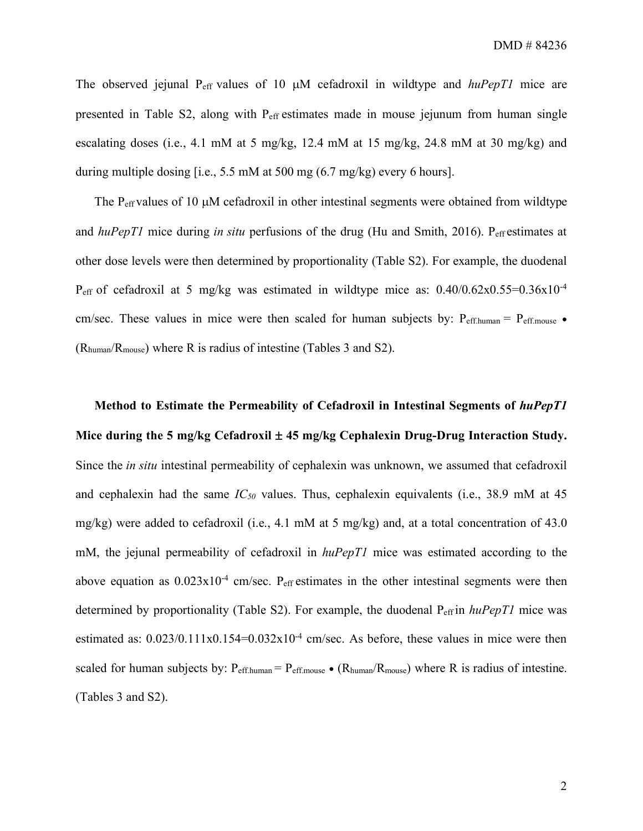The observed jejunal P<sub>eff</sub> values of 10  $\mu$ M cefadroxil in wildtype and *huPepT1* mice are presented in Table S2, along with Peff estimates made in mouse jejunum from human single escalating doses (i.e., 4.1 mM at 5 mg/kg, 12.4 mM at 15 mg/kg, 24.8 mM at 30 mg/kg) and during multiple dosing [i.e., 5.5 mM at 500 mg (6.7 mg/kg) every 6 hours].

The  $P_{\text{eff}}$  values of 10  $\mu$ M cefadroxil in other intestinal segments were obtained from wildtype and *huPepT1* mice during *in situ* perfusions of the drug (Hu and Smith, 2016). P<sub>eff</sub> estimates at other dose levels were then determined by proportionality (Table S2). For example, the duodenal P<sub>eff</sub> of cefadroxil at 5 mg/kg was estimated in wildtype mice as:  $0.40/0.62 \times 0.55 = 0.36 \times 10^{-4}$ cm/sec. These values in mice were then scaled for human subjects by:  $P_{\text{eff. human}} = P_{\text{eff. mouse}}$ . (Rhuman/Rmouse) where R is radius of intestine (Tables 3 and S2).

**Method to Estimate the Permeability of Cefadroxil in Intestinal Segments of** *huPepT1* **Mice during the 5 mg/kg Cefadroxil** ± **45 mg/kg Cephalexin Drug-Drug Interaction Study.** Since the *in situ* intestinal permeability of cephalexin was unknown, we assumed that cefadroxil and cephalexin had the same *IC50* values. Thus, cephalexin equivalents (i.e., 38.9 mM at 45 mg/kg) were added to cefadroxil (i.e., 4.1 mM at 5 mg/kg) and, at a total concentration of 43.0 mM, the jejunal permeability of cefadroxil in *huPepT1* mice was estimated according to the above equation as  $0.023 \times 10^{-4}$  cm/sec. P<sub>eff</sub> estimates in the other intestinal segments were then determined by proportionality (Table S2). For example, the duodenal Peff in *huPepT1* mice was estimated as:  $0.023/0.111x0.154=0.032x10^{-4}$  cm/sec. As before, these values in mice were then scaled for human subjects by:  $P_{\text{eff.human}} = P_{\text{eff. mouse}} \bullet (R_{\text{human}}/R_{\text{mouse}})$  where R is radius of intestine. (Tables 3 and S2).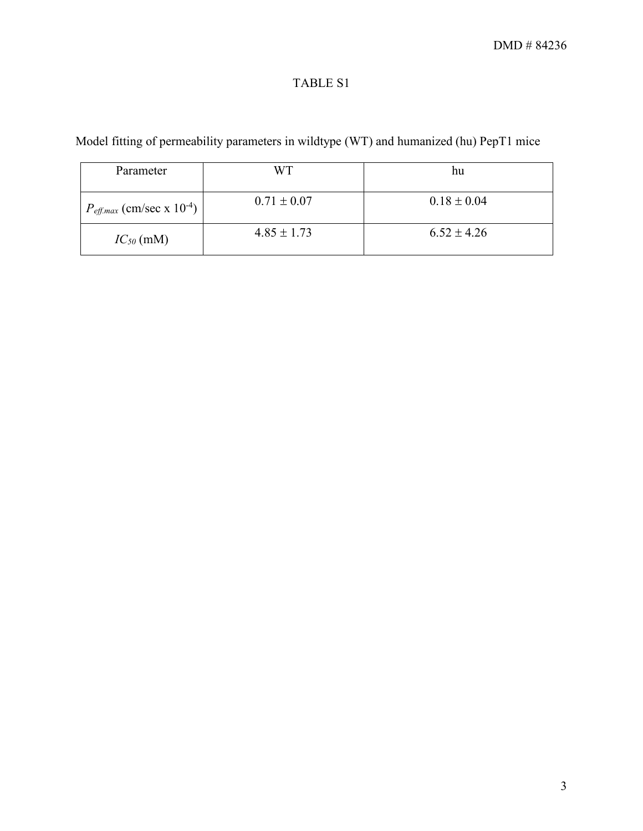## TABLE S1

Model fitting of permeability parameters in wildtype (WT) and humanized (hu) PepT1 mice

| Parameter                                         | WТ              | hu              |
|---------------------------------------------------|-----------------|-----------------|
| $P_{\text{eff}.max}$ (cm/sec x 10 <sup>-4</sup> ) | $0.71 \pm 0.07$ | $0.18 \pm 0.04$ |
| $IC_{50}$ (mM)                                    | $4.85 \pm 1.73$ | $6.52 \pm 4.26$ |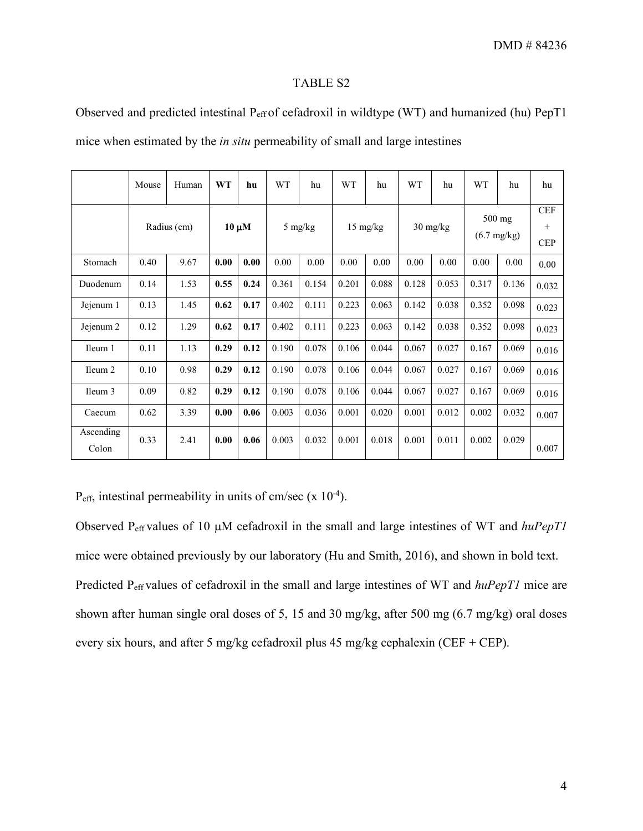## TABLE S2

Observed and predicted intestinal P<sub>eff</sub> of cefadroxil in wildtype (WT) and humanized (hu) PepT1

mice when estimated by the *in situ* permeability of small and large intestines

|                    | Mouse       | Human | <b>WT</b>  | hu   | <b>WT</b> | hu    | <b>WT</b>          | hu    | <b>WT</b>  | hu    | <b>WT</b>                       | hu    | hu                              |
|--------------------|-------------|-------|------------|------|-----------|-------|--------------------|-------|------------|-------|---------------------------------|-------|---------------------------------|
|                    | Radius (cm) |       | $10 \mu M$ |      | 5 mg/kg   |       | $15 \text{ mg/kg}$ |       | $30$ mg/kg |       | 500 mg<br>$(6.7 \text{ mg/kg})$ |       | <b>CEF</b><br>$+$<br><b>CEP</b> |
| Stomach            | 0.40        | 9.67  | 0.00       | 0.00 | 0.00      | 0.00  | 0.00               | 0.00  | 0.00       | 0.00  | 0.00                            | 0.00  | 0.00                            |
| Duodenum           | 0.14        | 1.53  | 0.55       | 0.24 | 0.361     | 0.154 | 0.201              | 0.088 | 0.128      | 0.053 | 0.317                           | 0.136 | 0.032                           |
| Jejenum 1          | 0.13        | 1.45  | 0.62       | 0.17 | 0.402     | 0.111 | 0.223              | 0.063 | 0.142      | 0.038 | 0.352                           | 0.098 | 0.023                           |
| Jejenum 2          | 0.12        | 1.29  | 0.62       | 0.17 | 0.402     | 0.111 | 0.223              | 0.063 | 0.142      | 0.038 | 0.352                           | 0.098 | 0.023                           |
| Ileum 1            | 0.11        | 1.13  | 0.29       | 0.12 | 0.190     | 0.078 | 0.106              | 0.044 | 0.067      | 0.027 | 0.167                           | 0.069 | 0.016                           |
| Ileum <sub>2</sub> | 0.10        | 0.98  | 0.29       | 0.12 | 0.190     | 0.078 | 0.106              | 0.044 | 0.067      | 0.027 | 0.167                           | 0.069 | 0.016                           |
| Ileum 3            | 0.09        | 0.82  | 0.29       | 0.12 | 0.190     | 0.078 | 0.106              | 0.044 | 0.067      | 0.027 | 0.167                           | 0.069 | 0.016                           |
| Caecum             | 0.62        | 3.39  | 0.00       | 0.06 | 0.003     | 0.036 | 0.001              | 0.020 | 0.001      | 0.012 | 0.002                           | 0.032 | 0.007                           |
| Ascending<br>Colon | 0.33        | 2.41  | 0.00       | 0.06 | 0.003     | 0.032 | 0.001              | 0.018 | 0.001      | 0.011 | 0.002                           | 0.029 | 0.007                           |

 $P_{\text{eff}}$ , intestinal permeability in units of cm/sec (x 10<sup>-4</sup>).

Observed Peff values of 10 µM cefadroxil in the small and large intestines of WT and *huPepT1* mice were obtained previously by our laboratory (Hu and Smith, 2016), and shown in bold text. Predicted Peff values of cefadroxil in the small and large intestines of WT and *huPepT1* mice are shown after human single oral doses of 5, 15 and 30 mg/kg, after 500 mg (6.7 mg/kg) oral doses every six hours, and after 5 mg/kg cefadroxil plus 45 mg/kg cephalexin (CEF + CEP).